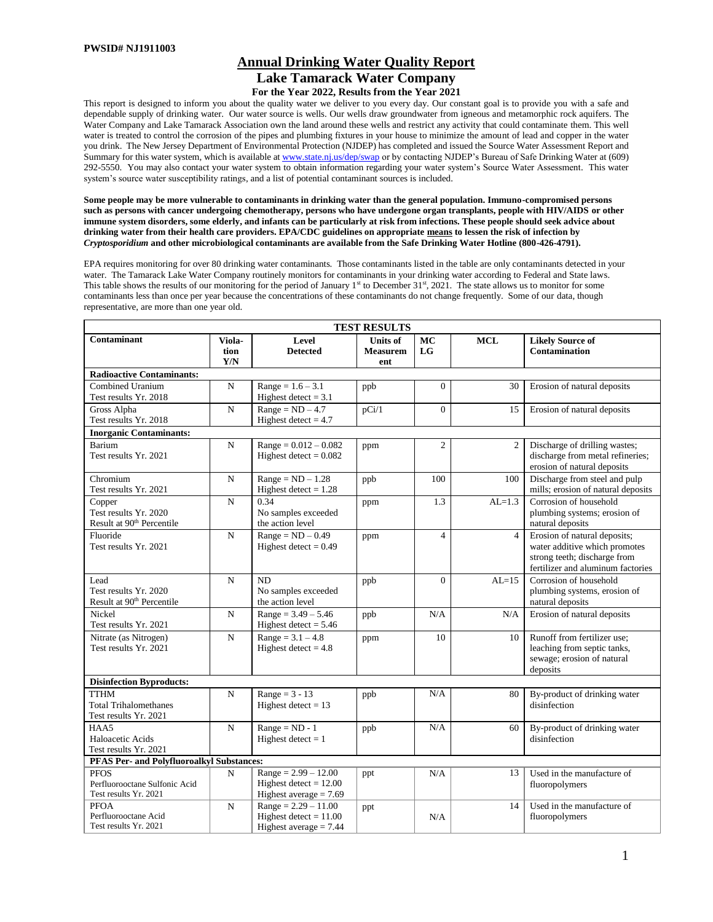# **Annual Drinking Water Quality Report Lake Tamarack Water Company For the Year 2022, Results from the Year 2021**

This report is designed to inform you about the quality water we deliver to you every day. Our constant goal is to provide you with a safe and dependable supply of drinking water. Our water source is wells. Our wells draw groundwater from igneous and metamorphic rock aquifers. The Water Company and Lake Tamarack Association own the land around these wells and restrict any activity that could contaminate them. This well water is treated to control the corrosion of the pipes and plumbing fixtures in your house to minimize the amount of lead and copper in the water you drink. The New Jersey Department of Environmental Protection (NJDEP) has completed and issued the Source Water Assessment Report and Summary for this water system, which is available a[t www.state.nj.us/dep/swap](http://www.state.nj.us/dep/swap) or by contacting NJDEP's Bureau of Safe Drinking Water at (609) 292-5550. You may also contact your water system to obtain information regarding your water system's Source Water Assessment. This water system's source water susceptibility ratings, and a list of potential contaminant sources is included.

**Some people may be more vulnerable to contaminants in drinking water than the general population. Immuno-compromised persons such as persons with cancer undergoing chemotherapy, persons who have undergone organ transplants, people with HIV/AIDS or other immune system disorders, some elderly, and infants can be particularly at risk from infections. These people should seek advice about drinking water from their health care providers. EPA/CDC guidelines on appropriate means to lessen the risk of infection by** *Cryptosporidium* **and other microbiological contaminants are available from the Safe Drinking Water Hotline (800-426-4791).** 

EPA requires monitoring for over 80 drinking water contaminants. Those contaminants listed in the table are only contaminants detected in your water. The Tamarack Lake Water Company routinely monitors for contaminants in your drinking water according to Federal and State laws. This table shows the results of our monitoring for the period of January  $1<sup>st</sup>$  to December 31 $<sup>st</sup>$ , 2021. The state allows us to monitor for some</sup> contaminants less than once per year because the concentrations of these contaminants do not change frequently. Some of our data, though representative, are more than one year old.

|                                                                          | <b>TEST RESULTS</b>   |                                                                                |                                    |                |                |                                                                                                                                    |  |  |  |  |  |  |  |  |
|--------------------------------------------------------------------------|-----------------------|--------------------------------------------------------------------------------|------------------------------------|----------------|----------------|------------------------------------------------------------------------------------------------------------------------------------|--|--|--|--|--|--|--|--|
| Contaminant                                                              | Viola-<br>tion<br>Y/N | Level<br><b>Detected</b>                                                       | Units of<br><b>Measurem</b><br>ent | MC<br>LG       | <b>MCL</b>     | <b>Likely Source of</b><br>Contamination                                                                                           |  |  |  |  |  |  |  |  |
| <b>Radioactive Contaminants:</b>                                         |                       |                                                                                |                                    |                |                |                                                                                                                                    |  |  |  |  |  |  |  |  |
| Combined Uranium<br>Test results Yr. 2018                                | $\mathbf N$           | $Range = 1.6 - 3.1$<br>Highest detect = $3.1$                                  | ppb                                | $\Omega$       | 30             | Erosion of natural deposits                                                                                                        |  |  |  |  |  |  |  |  |
| Gross Alpha<br>Test results Yr. 2018                                     | N                     | $Range = ND - 4.7$<br>Highest detect $= 4.7$                                   | pCi/1                              | $\Omega$       | 15             | Erosion of natural deposits                                                                                                        |  |  |  |  |  |  |  |  |
| <b>Inorganic Contaminants:</b>                                           |                       |                                                                                |                                    |                |                |                                                                                                                                    |  |  |  |  |  |  |  |  |
| Barium<br>Test results Yr. 2021                                          | N                     | $Range = 0.012 - 0.082$<br>Highest detect = $0.082$                            | ppm                                | $\mathfrak{2}$ | $\overline{c}$ | Discharge of drilling wastes;<br>discharge from metal refineries;<br>erosion of natural deposits                                   |  |  |  |  |  |  |  |  |
| Chromium<br>Test results Yr. 2021                                        | N                     | $Range = ND - 1.28$<br>Highest detect $= 1.28$                                 | ppb                                | 100            | 100            | Discharge from steel and pulp<br>mills; erosion of natural deposits                                                                |  |  |  |  |  |  |  |  |
| Copper<br>Test results Yr. 2020<br>Result at 90 <sup>th</sup> Percentile | N                     | 0.34<br>No samples exceeded<br>the action level                                | ppm                                | 1.3            | $AL=1.3$       | Corrosion of household<br>plumbing systems; erosion of<br>natural deposits                                                         |  |  |  |  |  |  |  |  |
| Fluoride<br>Test results Yr. 2021                                        | $\mathbf N$           | $Range = ND - 0.49$<br>Highest detect = $0.49$                                 | ppm                                | $\overline{4}$ | $\overline{4}$ | Erosion of natural deposits;<br>water additive which promotes<br>strong teeth; discharge from<br>fertilizer and aluminum factories |  |  |  |  |  |  |  |  |
| Lead<br>Test results Yr. 2020<br>Result at 90 <sup>th</sup> Percentile   | N                     | N <sub>D</sub><br>No samples exceeded<br>the action level                      | ppb                                | $\Omega$       | $AL=15$        | Corrosion of household<br>plumbing systems, erosion of<br>natural deposits                                                         |  |  |  |  |  |  |  |  |
| Nickel<br>Test results Yr. 2021                                          | $\mathbf N$           | $Range = 3.49 - 5.46$<br>Highest detect $= 5.46$                               | ppb                                | N/A            | N/A            | Erosion of natural deposits                                                                                                        |  |  |  |  |  |  |  |  |
| Nitrate (as Nitrogen)<br>Test results Yr. 2021                           | N                     | $\overline{\text{Range}} = 3.1 - 4.8$<br>Highest detect $= 4.8$                | ppm                                | 10             | 10             | Runoff from fertilizer use:<br>leaching from septic tanks,<br>sewage; erosion of natural<br>deposits                               |  |  |  |  |  |  |  |  |
| <b>Disinfection Byproducts:</b>                                          |                       |                                                                                |                                    |                |                |                                                                                                                                    |  |  |  |  |  |  |  |  |
| <b>TTHM</b><br><b>Total Trihalomethanes</b><br>Test results Yr. 2021     | $\mathbf N$           | Range = $3 - 13$<br>Highest detect $= 13$                                      | ppb                                | N/A            | 80             | By-product of drinking water<br>disinfection                                                                                       |  |  |  |  |  |  |  |  |
| HAA5<br>Haloacetic Acids<br>Test results Yr. 2021                        | $\mathbf N$           | $Range = ND - 1$<br>Highest detect $= 1$                                       | ppb                                | N/A            | 60             | By-product of drinking water<br>disinfection                                                                                       |  |  |  |  |  |  |  |  |
| PFAS Per- and Polyfluoroalkyl Substances:                                |                       |                                                                                |                                    |                |                |                                                                                                                                    |  |  |  |  |  |  |  |  |
| <b>PFOS</b><br>Perfluorooctane Sulfonic Acid<br>Test results Yr. 2021    | N                     | $Range = 2.99 - 12.00$<br>Highest detect $= 12.00$<br>Highest average $= 7.69$ | ppt                                | N/A            | 13             | Used in the manufacture of<br>fluoropolymers                                                                                       |  |  |  |  |  |  |  |  |
| <b>PFOA</b><br>Perfluorooctane Acid<br>Test results Yr. 2021             | N                     | $Range = 2.29 - 11.00$<br>Highest detect $= 11.00$<br>Highest average $= 7.44$ | ppt                                | N/A            | 14             | Used in the manufacture of<br>fluoropolymers                                                                                       |  |  |  |  |  |  |  |  |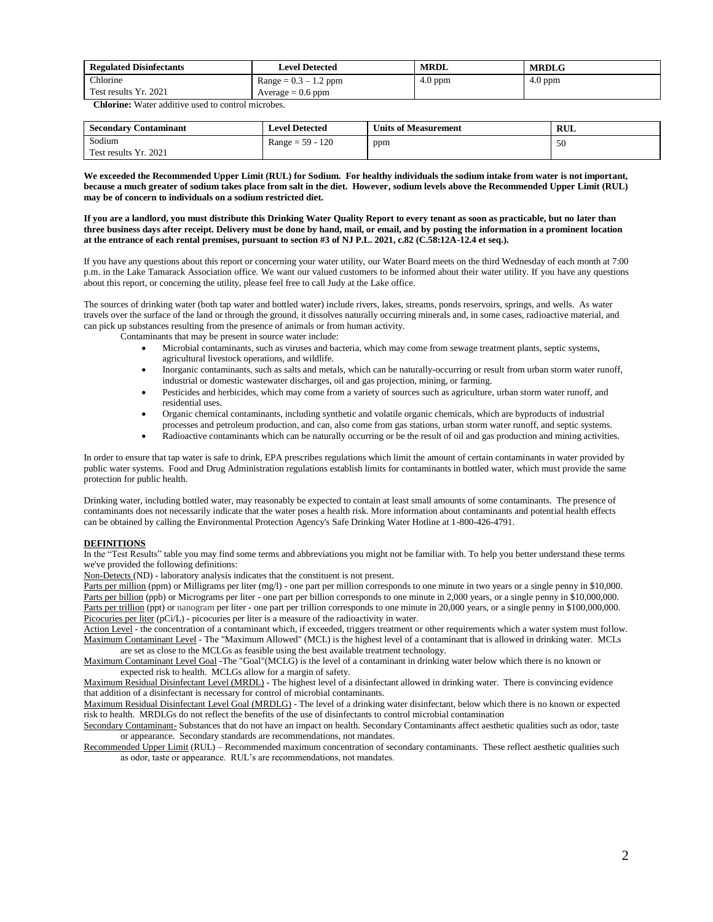| <b>Regulated Disinfectants</b> | <b>Level Detected</b>   | <b>MRDL</b> | <b>MRDLG</b> |
|--------------------------------|-------------------------|-------------|--------------|
| Chlorine                       | $Range = 0.3 - 1.2$ ppm | $4.0$ ppm   | $4.0$ ppm    |
| Test results Yr. 2021          | Average $= 0.6$ ppm     |             |              |

 **Chlorine:** Water additive used to control microbes.

| <b>Secondary Contaminant</b> | <b>Level Detected</b> | <b>Units of Measurement</b> | <b>RUL</b> |  |  |
|------------------------------|-----------------------|-----------------------------|------------|--|--|
| Sodium                       | $Range = 59 - 120$    | ppm                         | 50         |  |  |
| Test results Yr. 2021        |                       |                             |            |  |  |

**We exceeded the Recommended Upper Limit (RUL) for Sodium. For healthy individuals the sodium intake from water is not important, because a much greater of sodium takes place from salt in the diet. However, sodium levels above the Recommended Upper Limit (RUL) may be of concern to individuals on a sodium restricted diet.**

**If you are a landlord, you must distribute this Drinking Water Quality Report to every tenant as soon as practicable, but no later than three business days after receipt. Delivery must be done by hand, mail, or email, and by posting the information in a prominent location at the entrance of each rental premises, pursuant to section #3 of NJ P.L. 2021, c.82 (C.58:12A-12.4 et seq.).**

If you have any questions about this report or concerning your water utility, our Water Board meets on the third Wednesday of each month at 7:00 p.m. in the Lake Tamarack Association office. We want our valued customers to be informed about their water utility. If you have any questions about this report, or concerning the utility, please feel free to call Judy at the Lake office.

The sources of drinking water (both tap water and bottled water) include rivers, lakes, streams, ponds reservoirs, springs, and wells. As water travels over the surface of the land or through the ground, it dissolves naturally occurring minerals and, in some cases, radioactive material, and can pick up substances resulting from the presence of animals or from human activity.

Contaminants that may be present in source water include:

- Microbial contaminants, such as viruses and bacteria, which may come from sewage treatment plants, septic systems, agricultural livestock operations, and wildlife.
- Inorganic contaminants, such as salts and metals, which can be naturally-occurring or result from urban storm water runoff, industrial or domestic wastewater discharges, oil and gas projection, mining, or farming.
- Pesticides and herbicides, which may come from a variety of sources such as agriculture, urban storm water runoff, and residential uses.
- Organic chemical contaminants, including synthetic and volatile organic chemicals, which are byproducts of industrial
- processes and petroleum production, and can, also come from gas stations, urban storm water runoff, and septic systems.
- Radioactive contaminants which can be naturally occurring or be the result of oil and gas production and mining activities.

In order to ensure that tap water is safe to drink, EPA prescribes regulations which limit the amount of certain contaminants in water provided by public water systems. Food and Drug Administration regulations establish limits for contaminants in bottled water, which must provide the same protection for public health.

Drinking water, including bottled water, may reasonably be expected to contain at least small amounts of some contaminants. The presence of contaminants does not necessarily indicate that the water poses a health risk. More information about contaminants and potential health effects can be obtained by calling the Environmental Protection Agency's Safe Drinking Water Hotline at 1-800-426-4791.

#### **DEFINITIONS**

In the "Test Results" table you may find some terms and abbreviations you might not be familiar with. To help you better understand these terms we've provided the following definitions:

Non-Detects (ND) - laboratory analysis indicates that the constituent is not present.

Parts per million (ppm) or Milligrams per liter (mg/l) - one part per million corresponds to one minute in two years or a single penny in \$10,000. Parts per billion (ppb) or Micrograms per liter - one part per billion corresponds to one minute in 2,000 years, or a single penny in \$10,000,000. Parts per trillion (ppt) or nanogram per liter - one part per trillion corresponds to one minute in 20,000 years, or a single penny in \$100,000,000. Picocuries per liter (pCi/L) - picocuries per liter is a measure of the radioactivity in water.

Action Level - the concentration of a contaminant which, if exceeded, triggers treatment or other requirements which a water system must follow. Maximum Contaminant Level - The "Maximum Allowed" (MCL) is the highest level of a contaminant that is allowed in drinking water. MCLs are set as close to the MCLGs as feasible using the best available treatment technology.

Maximum Contaminant Level Goal -The "Goal"(MCLG) is the level of a contaminant in drinking water below which there is no known or expected risk to health. MCLGs allow for a margin of safety.

Maximum Residual Disinfectant Level (MRDL) - The highest level of a disinfectant allowed in drinking water. There is convincing evidence that addition of a disinfectant is necessary for control of microbial contaminants.

Maximum Residual Disinfectant Level Goal (MRDLG) - The level of a drinking water disinfectant, below which there is no known or expected risk to health. MRDLGs do not reflect the benefits of the use of disinfectants to control microbial contamination

Secondary Contaminant- Substances that do not have an impact on health. Secondary Contaminants affect aesthetic qualities such as odor, taste or appearance. Secondary standards are recommendations, not mandates.

Recommended Upper Limit (RUL) – Recommended maximum concentration of secondary contaminants. These reflect aesthetic qualities such as odor, taste or appearance. RUL's are recommendations, not mandates.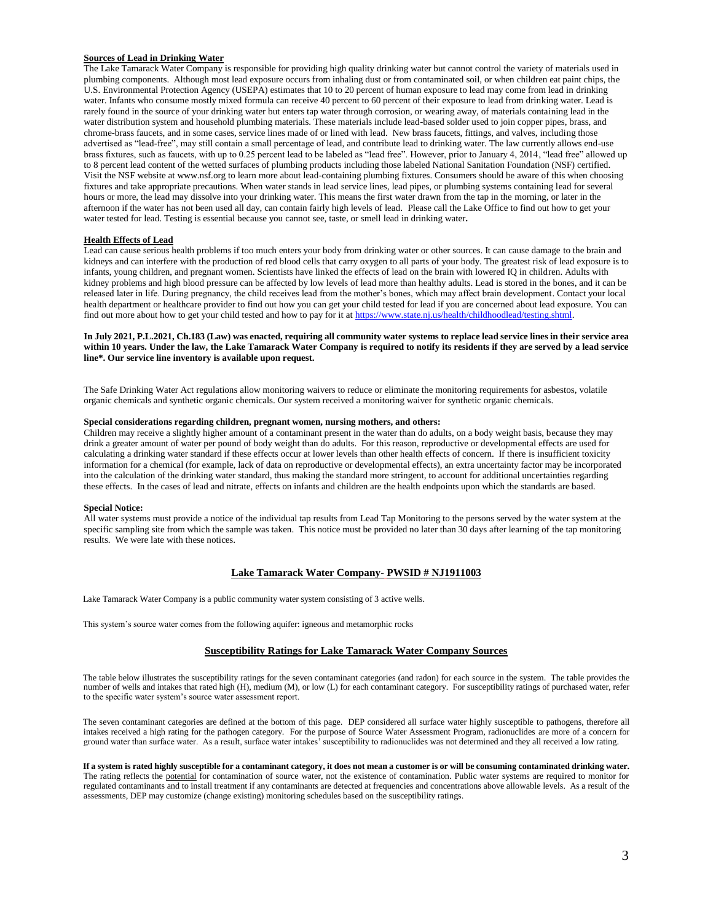# **Sources of Lead in Drinking Water**

The Lake Tamarack Water Company is responsible for providing high quality drinking water but cannot control the variety of materials used in plumbing components. Although most lead exposure occurs from inhaling dust or from contaminated soil, or when children eat paint chips, the U.S. Environmental Protection Agency (USEPA) estimates that 10 to 20 percent of human exposure to lead may come from lead in drinking water. Infants who consume mostly mixed formula can receive 40 percent to 60 percent of their exposure to lead from drinking water. Lead is rarely found in the source of your drinking water but enters tap water through corrosion, or wearing away, of materials containing lead in the water distribution system and household plumbing materials. These materials include lead-based solder used to join copper pipes, brass, and chrome-brass faucets, and in some cases, service lines made of or lined with lead. New brass faucets, fittings, and valves, including those advertised as "lead-free", may still contain a small percentage of lead, and contribute lead to drinking water. The law currently allows end-use brass fixtures, such as faucets, with up to 0.25 percent lead to be labeled as "lead free". However, prior to January 4, 2014, "lead free" allowed up to 8 percent lead content of the wetted surfaces of plumbing products including those labeled National Sanitation Foundation (NSF) certified. Visit the NSF website at www.nsf.org to learn more about lead-containing plumbing fixtures. Consumers should be aware of this when choosing fixtures and take appropriate precautions. When water stands in lead service lines, lead pipes, or plumbing systems containing lead for several hours or more, the lead may dissolve into your drinking water. This means the first water drawn from the tap in the morning, or later in the afternoon if the water has not been used all day, can contain fairly high levels of lead. Please call the Lake Office to find out how to get your water tested for lead. Testing is essential because you cannot see, taste, or smell lead in drinking water**.**

#### **Health Effects of Lead**

Lead can cause serious health problems if too much enters your body from drinking water or other sources. It can cause damage to the brain and kidneys and can interfere with the production of red blood cells that carry oxygen to all parts of your body. The greatest risk of lead exposure is to infants, young children, and pregnant women. Scientists have linked the effects of lead on the brain with lowered IQ in children. Adults with kidney problems and high blood pressure can be affected by low levels of lead more than healthy adults. Lead is stored in the bones, and it can be released later in life. During pregnancy, the child receives lead from the mother's bones, which may affect brain development. Contact your local health department or healthcare provider to find out how you can get your child tested for lead if you are concerned about lead exposure. You can find out more about how to get your child tested and how to pay for it at https://www.state.nj.us/health/childhoodlead/testing.shtml.

# **In July 2021, P.L.2021, Ch.183 (Law) was enacted, requiring all community water systems to replace lead service lines in their service area within 10 years. Under the law, the Lake Tamarack Water Company is required to notify its residents if they are served by a lead service line\*. Our service line inventory is available upon request.**

The Safe Drinking Water Act regulations allow monitoring waivers to reduce or eliminate the monitoring requirements for asbestos, volatile organic chemicals and synthetic organic chemicals. Our system received a monitoring waiver for synthetic organic chemicals.

# **Special considerations regarding children, pregnant women, nursing mothers, and others:**

Children may receive a slightly higher amount of a contaminant present in the water than do adults, on a body weight basis, because they may drink a greater amount of water per pound of body weight than do adults. For this reason, reproductive or developmental effects are used for calculating a drinking water standard if these effects occur at lower levels than other health effects of concern. If there is insufficient toxicity information for a chemical (for example, lack of data on reproductive or developmental effects), an extra uncertainty factor may be incorporated into the calculation of the drinking water standard, thus making the standard more stringent, to account for additional uncertainties regarding these effects. In the cases of lead and nitrate, effects on infants and children are the health endpoints upon which the standards are based.

#### **Special Notice:**

All water systems must provide a notice of the individual tap results from Lead Tap Monitoring to the persons served by the water system at the specific sampling site from which the sample was taken. This notice must be provided no later than 30 days after learning of the tap monitoring results. We were late with these notices.

# **Lake Tamarack Water Company- PWSID # NJ1911003**

Lake Tamarack Water Company is a public community water system consisting of 3 active wells.

This system's source water comes from the following aquifer: igneous and metamorphic rocks

#### **Susceptibility Ratings for Lake Tamarack Water Company Sources**

The table below illustrates the susceptibility ratings for the seven contaminant categories (and radon) for each source in the system. The table provides the number of wells and intakes that rated high (H), medium (M), or low (L) for each contaminant category. For susceptibility ratings of purchased water, refer to the specific water system's source water assessment report.

The seven contaminant categories are defined at the bottom of this page. DEP considered all surface water highly susceptible to pathogens, therefore all intakes received a high rating for the pathogen category. For the purpose of Source Water Assessment Program, radionuclides are more of a concern for ground water than surface water. As a result, surface water intakes' susceptibility to radionuclides was not determined and they all received a low rating.

**If a system is rated highly susceptible for a contaminant category, it does not mean a customer is or will be consuming contaminated drinking water.** The rating reflects the potential for contamination of source water, not the existence of contamination. Public water systems are required to monitor for regulated contaminants and to install treatment if any contaminants are detected at frequencies and concentrations above allowable levels. As a result of the assessments, DEP may customize (change existing) monitoring schedules based on the susceptibility ratings.